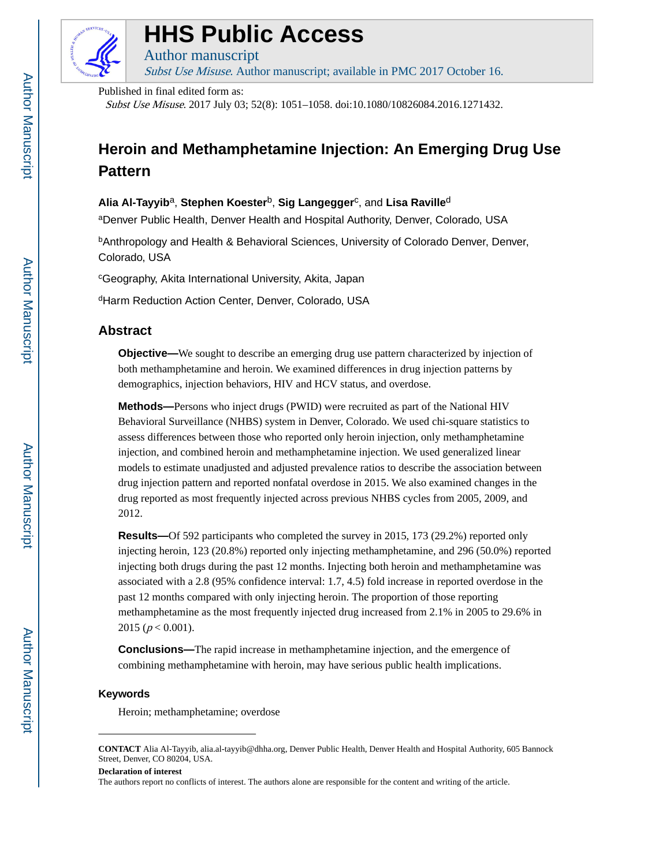

### **HHS Public Access**

Author manuscript Subst Use Misuse. Author manuscript; available in PMC 2017 October 16.

Published in final edited form as:

Subst Use Misuse. 2017 July 03; 52(8): 1051–1058. doi:10.1080/10826084.2016.1271432.

### **Heroin and Methamphetamine Injection: An Emerging Drug Use Pattern**

#### $\mathsf{Alla\ Al\text{-}Taylor}$  , Stephen Koester<sup>b</sup>, Sig Langegger<sup>c</sup>, and Lisa Raville<sup>d</sup>

<sup>a</sup>Denver Public Health, Denver Health and Hospital Authority, Denver, Colorado, USA

bAnthropology and Health & Behavioral Sciences, University of Colorado Denver, Denver, Colorado, USA

<sup>c</sup>Geography, Akita International University, Akita, Japan

dHarm Reduction Action Center, Denver, Colorado, USA

#### **Abstract**

**Objective—**We sought to describe an emerging drug use pattern characterized by injection of both methamphetamine and heroin. We examined differences in drug injection patterns by demographics, injection behaviors, HIV and HCV status, and overdose.

**Methods—**Persons who inject drugs (PWID) were recruited as part of the National HIV Behavioral Surveillance (NHBS) system in Denver, Colorado. We used chi-square statistics to assess differences between those who reported only heroin injection, only methamphetamine injection, and combined heroin and methamphetamine injection. We used generalized linear models to estimate unadjusted and adjusted prevalence ratios to describe the association between drug injection pattern and reported nonfatal overdose in 2015. We also examined changes in the drug reported as most frequently injected across previous NHBS cycles from 2005, 2009, and 2012.

**Results—**Of 592 participants who completed the survey in 2015, 173 (29.2%) reported only injecting heroin, 123 (20.8%) reported only injecting methamphetamine, and 296 (50.0%) reported injecting both drugs during the past 12 months. Injecting both heroin and methamphetamine was associated with a 2.8 (95% confidence interval: 1.7, 4.5) fold increase in reported overdose in the past 12 months compared with only injecting heroin. The proportion of those reporting methamphetamine as the most frequently injected drug increased from 2.1% in 2005 to 29.6% in 2015 ( $p < 0.001$ ).

**Conclusions—**The rapid increase in methamphetamine injection, and the emergence of combining methamphetamine with heroin, may have serious public health implications.

#### **Keywords**

Heroin; methamphetamine; overdose

**CONTACT** Alia Al-Tayyib, alia.al-tayyib@dhha.org, Denver Public Health, Denver Health and Hospital Authority, 605 Bannock Street, Denver, CO 80204, USA.

**Declaration of interest**

The authors report no conflicts of interest. The authors alone are responsible for the content and writing of the article.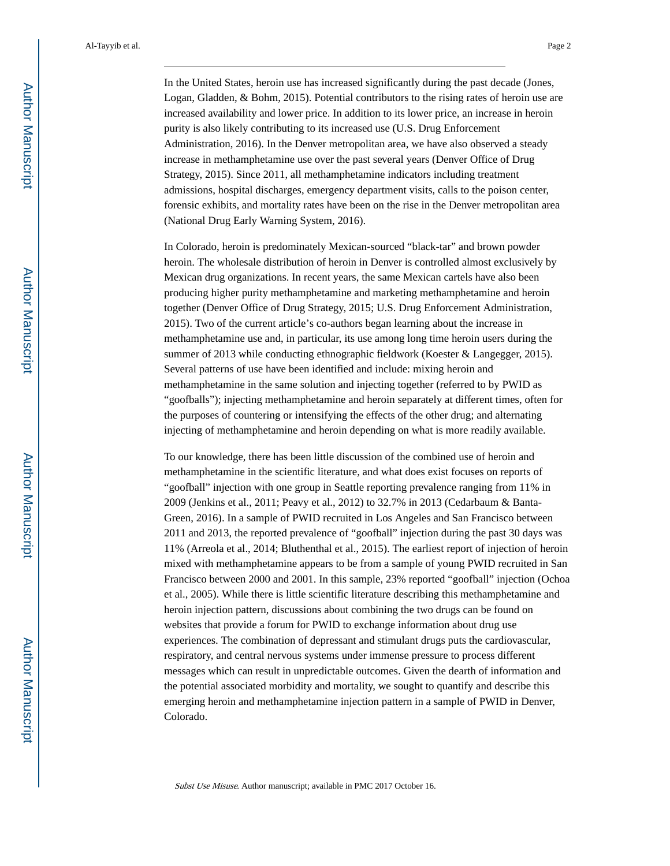In the United States, heroin use has increased significantly during the past decade (Jones, Logan, Gladden, & Bohm, 2015). Potential contributors to the rising rates of heroin use are increased availability and lower price. In addition to its lower price, an increase in heroin purity is also likely contributing to its increased use (U.S. Drug Enforcement Administration, 2016). In the Denver metropolitan area, we have also observed a steady increase in methamphetamine use over the past several years (Denver Office of Drug Strategy, 2015). Since 2011, all methamphetamine indicators including treatment admissions, hospital discharges, emergency department visits, calls to the poison center, forensic exhibits, and mortality rates have been on the rise in the Denver metropolitan area (National Drug Early Warning System, 2016).

In Colorado, heroin is predominately Mexican-sourced "black-tar" and brown powder heroin. The wholesale distribution of heroin in Denver is controlled almost exclusively by Mexican drug organizations. In recent years, the same Mexican cartels have also been producing higher purity methamphetamine and marketing methamphetamine and heroin together (Denver Office of Drug Strategy, 2015; U.S. Drug Enforcement Administration, 2015). Two of the current article's co-authors began learning about the increase in methamphetamine use and, in particular, its use among long time heroin users during the summer of 2013 while conducting ethnographic fieldwork (Koester & Langegger, 2015). Several patterns of use have been identified and include: mixing heroin and methamphetamine in the same solution and injecting together (referred to by PWID as "goofballs"); injecting methamphetamine and heroin separately at different times, often for the purposes of countering or intensifying the effects of the other drug; and alternating injecting of methamphetamine and heroin depending on what is more readily available.

To our knowledge, there has been little discussion of the combined use of heroin and methamphetamine in the scientific literature, and what does exist focuses on reports of "goofball" injection with one group in Seattle reporting prevalence ranging from 11% in 2009 (Jenkins et al., 2011; Peavy et al., 2012) to 32.7% in 2013 (Cedarbaum & Banta-Green, 2016). In a sample of PWID recruited in Los Angeles and San Francisco between 2011 and 2013, the reported prevalence of "goofball" injection during the past 30 days was 11% (Arreola et al., 2014; Bluthenthal et al., 2015). The earliest report of injection of heroin mixed with methamphetamine appears to be from a sample of young PWID recruited in San Francisco between 2000 and 2001. In this sample, 23% reported "goofball" injection (Ochoa et al., 2005). While there is little scientific literature describing this methamphetamine and heroin injection pattern, discussions about combining the two drugs can be found on websites that provide a forum for PWID to exchange information about drug use experiences. The combination of depressant and stimulant drugs puts the cardiovascular, respiratory, and central nervous systems under immense pressure to process different messages which can result in unpredictable outcomes. Given the dearth of information and the potential associated morbidity and mortality, we sought to quantify and describe this emerging heroin and methamphetamine injection pattern in a sample of PWID in Denver, Colorado.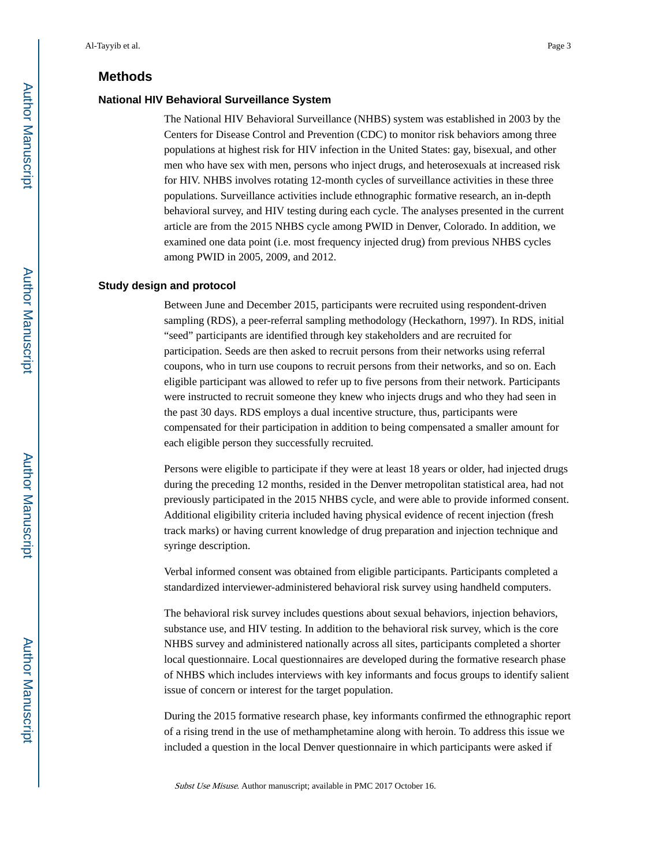#### **Methods**

#### **National HIV Behavioral Surveillance System**

The National HIV Behavioral Surveillance (NHBS) system was established in 2003 by the Centers for Disease Control and Prevention (CDC) to monitor risk behaviors among three populations at highest risk for HIV infection in the United States: gay, bisexual, and other men who have sex with men, persons who inject drugs, and heterosexuals at increased risk for HIV. NHBS involves rotating 12-month cycles of surveillance activities in these three populations. Surveillance activities include ethnographic formative research, an in-depth behavioral survey, and HIV testing during each cycle. The analyses presented in the current article are from the 2015 NHBS cycle among PWID in Denver, Colorado. In addition, we examined one data point (i.e. most frequency injected drug) from previous NHBS cycles among PWID in 2005, 2009, and 2012.

#### **Study design and protocol**

Between June and December 2015, participants were recruited using respondent-driven sampling (RDS), a peer-referral sampling methodology (Heckathorn, 1997). In RDS, initial "seed" participants are identified through key stakeholders and are recruited for participation. Seeds are then asked to recruit persons from their networks using referral coupons, who in turn use coupons to recruit persons from their networks, and so on. Each eligible participant was allowed to refer up to five persons from their network. Participants were instructed to recruit someone they knew who injects drugs and who they had seen in the past 30 days. RDS employs a dual incentive structure, thus, participants were compensated for their participation in addition to being compensated a smaller amount for each eligible person they successfully recruited.

Persons were eligible to participate if they were at least 18 years or older, had injected drugs during the preceding 12 months, resided in the Denver metropolitan statistical area, had not previously participated in the 2015 NHBS cycle, and were able to provide informed consent. Additional eligibility criteria included having physical evidence of recent injection (fresh track marks) or having current knowledge of drug preparation and injection technique and syringe description.

Verbal informed consent was obtained from eligible participants. Participants completed a standardized interviewer-administered behavioral risk survey using handheld computers.

The behavioral risk survey includes questions about sexual behaviors, injection behaviors, substance use, and HIV testing. In addition to the behavioral risk survey, which is the core NHBS survey and administered nationally across all sites, participants completed a shorter local questionnaire. Local questionnaires are developed during the formative research phase of NHBS which includes interviews with key informants and focus groups to identify salient issue of concern or interest for the target population.

During the 2015 formative research phase, key informants confirmed the ethnographic report of a rising trend in the use of methamphetamine along with heroin. To address this issue we included a question in the local Denver questionnaire in which participants were asked if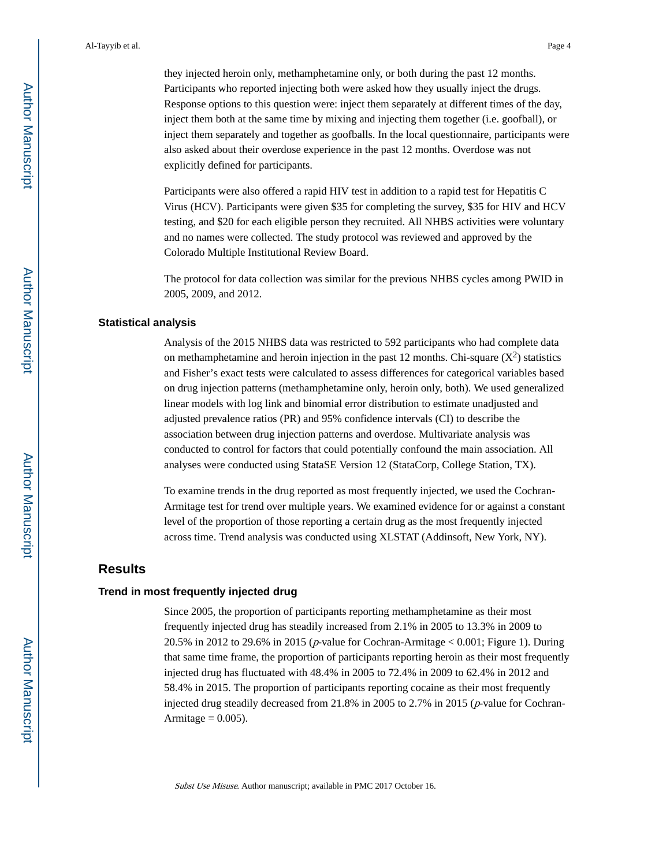they injected heroin only, methamphetamine only, or both during the past 12 months. Participants who reported injecting both were asked how they usually inject the drugs. Response options to this question were: inject them separately at different times of the day, inject them both at the same time by mixing and injecting them together (i.e. goofball), or inject them separately and together as goofballs. In the local questionnaire, participants were also asked about their overdose experience in the past 12 months. Overdose was not explicitly defined for participants.

Participants were also offered a rapid HIV test in addition to a rapid test for Hepatitis C Virus (HCV). Participants were given \$35 for completing the survey, \$35 for HIV and HCV testing, and \$20 for each eligible person they recruited. All NHBS activities were voluntary and no names were collected. The study protocol was reviewed and approved by the Colorado Multiple Institutional Review Board.

The protocol for data collection was similar for the previous NHBS cycles among PWID in 2005, 2009, and 2012.

#### **Statistical analysis**

Analysis of the 2015 NHBS data was restricted to 592 participants who had complete data on methamphetamine and heroin injection in the past 12 months. Chi-square  $(X^2)$  statistics and Fisher's exact tests were calculated to assess differences for categorical variables based on drug injection patterns (methamphetamine only, heroin only, both). We used generalized linear models with log link and binomial error distribution to estimate unadjusted and adjusted prevalence ratios (PR) and 95% confidence intervals (CI) to describe the association between drug injection patterns and overdose. Multivariate analysis was conducted to control for factors that could potentially confound the main association. All analyses were conducted using StataSE Version 12 (StataCorp, College Station, TX).

To examine trends in the drug reported as most frequently injected, we used the Cochran-Armitage test for trend over multiple years. We examined evidence for or against a constant level of the proportion of those reporting a certain drug as the most frequently injected across time. Trend analysis was conducted using XLSTAT (Addinsoft, New York, NY).

#### **Results**

#### **Trend in most frequently injected drug**

Since 2005, the proportion of participants reporting methamphetamine as their most frequently injected drug has steadily increased from 2.1% in 2005 to 13.3% in 2009 to 20.5% in 2012 to 29.6% in 2015 ( $p$ -value for Cochran-Armitage < 0.001; Figure 1). During that same time frame, the proportion of participants reporting heroin as their most frequently injected drug has fluctuated with 48.4% in 2005 to 72.4% in 2009 to 62.4% in 2012 and 58.4% in 2015. The proportion of participants reporting cocaine as their most frequently injected drug steadily decreased from 21.8% in 2005 to 2.7% in 2015 (p-value for Cochran-Armitage  $= 0.005$ ).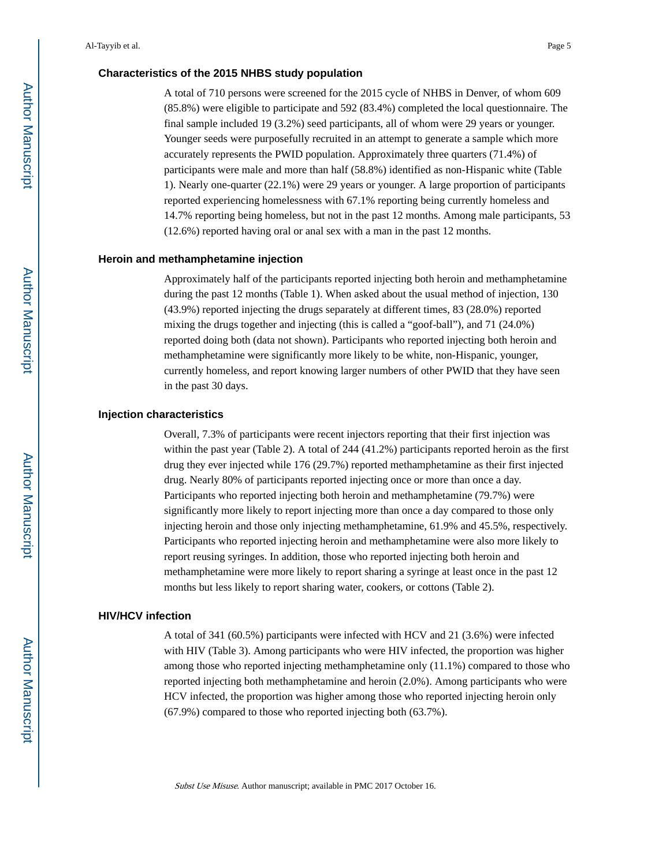#### **Characteristics of the 2015 NHBS study population**

A total of 710 persons were screened for the 2015 cycle of NHBS in Denver, of whom 609 (85.8%) were eligible to participate and 592 (83.4%) completed the local questionnaire. The final sample included 19 (3.2%) seed participants, all of whom were 29 years or younger. Younger seeds were purposefully recruited in an attempt to generate a sample which more accurately represents the PWID population. Approximately three quarters (71.4%) of participants were male and more than half (58.8%) identified as non-Hispanic white (Table 1). Nearly one-quarter (22.1%) were 29 years or younger. A large proportion of participants reported experiencing homelessness with 67.1% reporting being currently homeless and 14.7% reporting being homeless, but not in the past 12 months. Among male participants, 53 (12.6%) reported having oral or anal sex with a man in the past 12 months.

#### **Heroin and methamphetamine injection**

Approximately half of the participants reported injecting both heroin and methamphetamine during the past 12 months (Table 1). When asked about the usual method of injection, 130 (43.9%) reported injecting the drugs separately at different times, 83 (28.0%) reported mixing the drugs together and injecting (this is called a "goof-ball"), and 71 (24.0%) reported doing both (data not shown). Participants who reported injecting both heroin and methamphetamine were significantly more likely to be white, non-Hispanic, younger, currently homeless, and report knowing larger numbers of other PWID that they have seen in the past 30 days.

#### **Injection characteristics**

Overall, 7.3% of participants were recent injectors reporting that their first injection was within the past year (Table 2). A total of 244 (41.2%) participants reported heroin as the first drug they ever injected while 176 (29.7%) reported methamphetamine as their first injected drug. Nearly 80% of participants reported injecting once or more than once a day. Participants who reported injecting both heroin and methamphetamine (79.7%) were significantly more likely to report injecting more than once a day compared to those only injecting heroin and those only injecting methamphetamine, 61.9% and 45.5%, respectively. Participants who reported injecting heroin and methamphetamine were also more likely to report reusing syringes. In addition, those who reported injecting both heroin and methamphetamine were more likely to report sharing a syringe at least once in the past 12 months but less likely to report sharing water, cookers, or cottons (Table 2).

#### **HIV/HCV infection**

A total of 341 (60.5%) participants were infected with HCV and 21 (3.6%) were infected with HIV (Table 3). Among participants who were HIV infected, the proportion was higher among those who reported injecting methamphetamine only (11.1%) compared to those who reported injecting both methamphetamine and heroin (2.0%). Among participants who were HCV infected, the proportion was higher among those who reported injecting heroin only (67.9%) compared to those who reported injecting both (63.7%).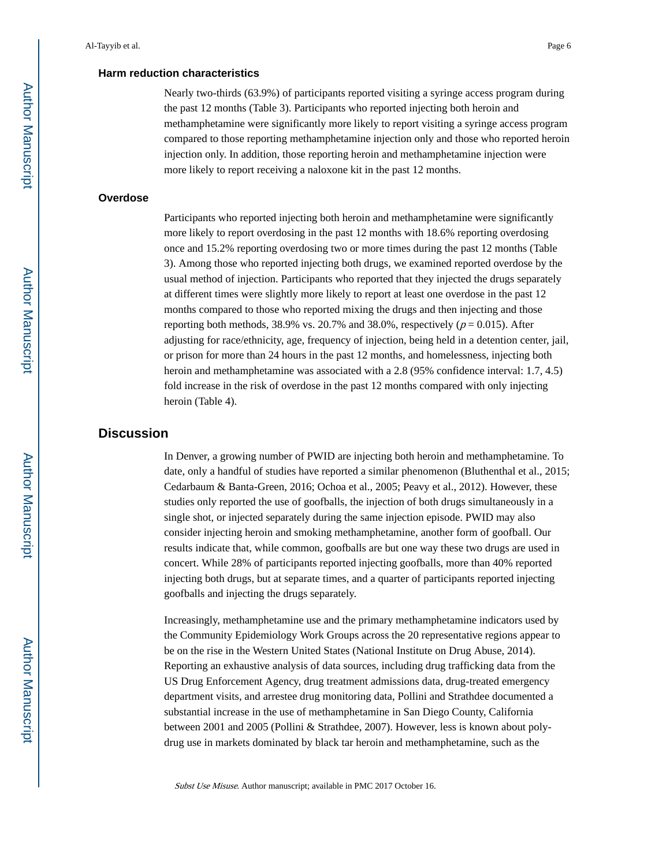#### **Harm reduction characteristics**

Nearly two-thirds (63.9%) of participants reported visiting a syringe access program during the past 12 months (Table 3). Participants who reported injecting both heroin and methamphetamine were significantly more likely to report visiting a syringe access program compared to those reporting methamphetamine injection only and those who reported heroin injection only. In addition, those reporting heroin and methamphetamine injection were more likely to report receiving a naloxone kit in the past 12 months.

#### **Overdose**

Participants who reported injecting both heroin and methamphetamine were significantly more likely to report overdosing in the past 12 months with 18.6% reporting overdosing once and 15.2% reporting overdosing two or more times during the past 12 months (Table 3). Among those who reported injecting both drugs, we examined reported overdose by the usual method of injection. Participants who reported that they injected the drugs separately at different times were slightly more likely to report at least one overdose in the past 12 months compared to those who reported mixing the drugs and then injecting and those reporting both methods, 38.9% vs. 20.7% and 38.0%, respectively ( $p = 0.015$ ). After adjusting for race/ethnicity, age, frequency of injection, being held in a detention center, jail, or prison for more than 24 hours in the past 12 months, and homelessness, injecting both heroin and methamphetamine was associated with a 2.8 (95% confidence interval: 1.7, 4.5) fold increase in the risk of overdose in the past 12 months compared with only injecting heroin (Table 4).

#### **Discussion**

In Denver, a growing number of PWID are injecting both heroin and methamphetamine. To date, only a handful of studies have reported a similar phenomenon (Bluthenthal et al., 2015; Cedarbaum & Banta-Green, 2016; Ochoa et al., 2005; Peavy et al., 2012). However, these studies only reported the use of goofballs, the injection of both drugs simultaneously in a single shot, or injected separately during the same injection episode. PWID may also consider injecting heroin and smoking methamphetamine, another form of goofball. Our results indicate that, while common, goofballs are but one way these two drugs are used in concert. While 28% of participants reported injecting goofballs, more than 40% reported injecting both drugs, but at separate times, and a quarter of participants reported injecting goofballs and injecting the drugs separately.

Increasingly, methamphetamine use and the primary methamphetamine indicators used by the Community Epidemiology Work Groups across the 20 representative regions appear to be on the rise in the Western United States (National Institute on Drug Abuse, 2014). Reporting an exhaustive analysis of data sources, including drug trafficking data from the US Drug Enforcement Agency, drug treatment admissions data, drug-treated emergency department visits, and arrestee drug monitoring data, Pollini and Strathdee documented a substantial increase in the use of methamphetamine in San Diego County, California between 2001 and 2005 (Pollini & Strathdee, 2007). However, less is known about polydrug use in markets dominated by black tar heroin and methamphetamine, such as the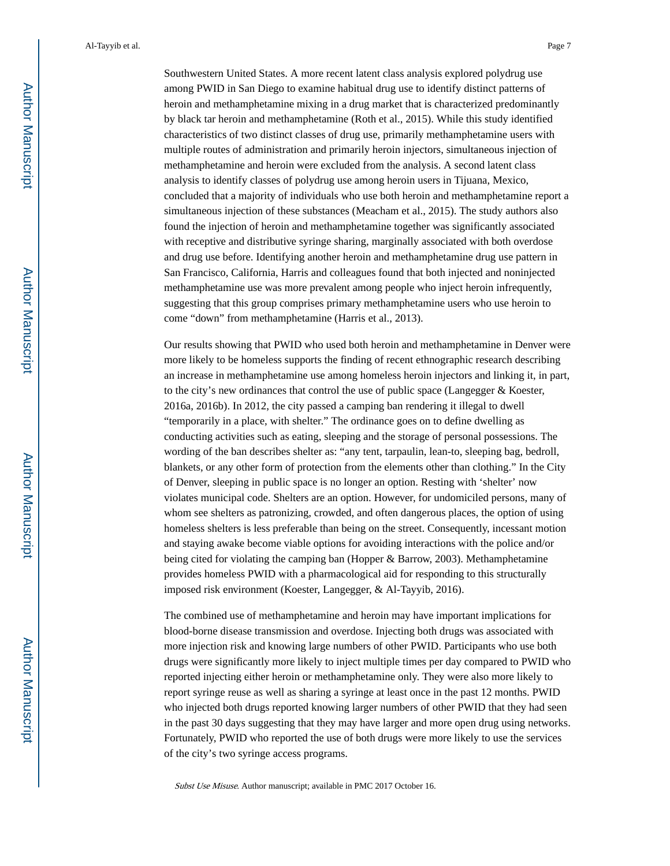Southwestern United States. A more recent latent class analysis explored polydrug use among PWID in San Diego to examine habitual drug use to identify distinct patterns of heroin and methamphetamine mixing in a drug market that is characterized predominantly by black tar heroin and methamphetamine (Roth et al., 2015). While this study identified characteristics of two distinct classes of drug use, primarily methamphetamine users with multiple routes of administration and primarily heroin injectors, simultaneous injection of methamphetamine and heroin were excluded from the analysis. A second latent class analysis to identify classes of polydrug use among heroin users in Tijuana, Mexico, concluded that a majority of individuals who use both heroin and methamphetamine report a simultaneous injection of these substances (Meacham et al., 2015). The study authors also found the injection of heroin and methamphetamine together was significantly associated with receptive and distributive syringe sharing, marginally associated with both overdose and drug use before. Identifying another heroin and methamphetamine drug use pattern in San Francisco, California, Harris and colleagues found that both injected and noninjected methamphetamine use was more prevalent among people who inject heroin infrequently, suggesting that this group comprises primary methamphetamine users who use heroin to come "down" from methamphetamine (Harris et al., 2013).

Our results showing that PWID who used both heroin and methamphetamine in Denver were more likely to be homeless supports the finding of recent ethnographic research describing an increase in methamphetamine use among homeless heroin injectors and linking it, in part, to the city's new ordinances that control the use of public space (Langegger & Koester, 2016a, 2016b). In 2012, the city passed a camping ban rendering it illegal to dwell "temporarily in a place, with shelter." The ordinance goes on to define dwelling as conducting activities such as eating, sleeping and the storage of personal possessions. The wording of the ban describes shelter as: "any tent, tarpaulin, lean-to, sleeping bag, bedroll, blankets, or any other form of protection from the elements other than clothing." In the City of Denver, sleeping in public space is no longer an option. Resting with 'shelter' now violates municipal code. Shelters are an option. However, for undomiciled persons, many of whom see shelters as patronizing, crowded, and often dangerous places, the option of using homeless shelters is less preferable than being on the street. Consequently, incessant motion and staying awake become viable options for avoiding interactions with the police and/or being cited for violating the camping ban (Hopper & Barrow, 2003). Methamphetamine provides homeless PWID with a pharmacological aid for responding to this structurally imposed risk environment (Koester, Langegger, & Al-Tayyib, 2016).

The combined use of methamphetamine and heroin may have important implications for blood-borne disease transmission and overdose. Injecting both drugs was associated with more injection risk and knowing large numbers of other PWID. Participants who use both drugs were significantly more likely to inject multiple times per day compared to PWID who reported injecting either heroin or methamphetamine only. They were also more likely to report syringe reuse as well as sharing a syringe at least once in the past 12 months. PWID who injected both drugs reported knowing larger numbers of other PWID that they had seen in the past 30 days suggesting that they may have larger and more open drug using networks. Fortunately, PWID who reported the use of both drugs were more likely to use the services of the city's two syringe access programs.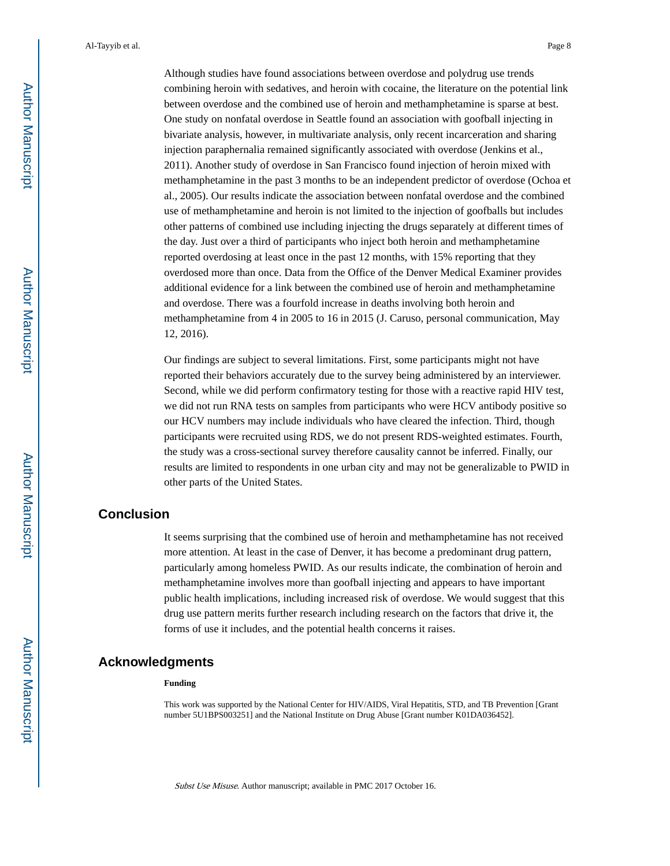Although studies have found associations between overdose and polydrug use trends combining heroin with sedatives, and heroin with cocaine, the literature on the potential link between overdose and the combined use of heroin and methamphetamine is sparse at best. One study on nonfatal overdose in Seattle found an association with goofball injecting in bivariate analysis, however, in multivariate analysis, only recent incarceration and sharing injection paraphernalia remained significantly associated with overdose (Jenkins et al., 2011). Another study of overdose in San Francisco found injection of heroin mixed with methamphetamine in the past 3 months to be an independent predictor of overdose (Ochoa et al., 2005). Our results indicate the association between nonfatal overdose and the combined use of methamphetamine and heroin is not limited to the injection of goofballs but includes other patterns of combined use including injecting the drugs separately at different times of the day. Just over a third of participants who inject both heroin and methamphetamine reported overdosing at least once in the past 12 months, with 15% reporting that they overdosed more than once. Data from the Office of the Denver Medical Examiner provides additional evidence for a link between the combined use of heroin and methamphetamine and overdose. There was a fourfold increase in deaths involving both heroin and methamphetamine from 4 in 2005 to 16 in 2015 (J. Caruso, personal communication, May 12, 2016).

Our findings are subject to several limitations. First, some participants might not have reported their behaviors accurately due to the survey being administered by an interviewer. Second, while we did perform confirmatory testing for those with a reactive rapid HIV test, we did not run RNA tests on samples from participants who were HCV antibody positive so our HCV numbers may include individuals who have cleared the infection. Third, though participants were recruited using RDS, we do not present RDS-weighted estimates. Fourth, the study was a cross-sectional survey therefore causality cannot be inferred. Finally, our results are limited to respondents in one urban city and may not be generalizable to PWID in other parts of the United States.

#### **Conclusion**

It seems surprising that the combined use of heroin and methamphetamine has not received more attention. At least in the case of Denver, it has become a predominant drug pattern, particularly among homeless PWID. As our results indicate, the combination of heroin and methamphetamine involves more than goofball injecting and appears to have important public health implications, including increased risk of overdose. We would suggest that this drug use pattern merits further research including research on the factors that drive it, the forms of use it includes, and the potential health concerns it raises.

#### **Acknowledgments**

#### **Funding**

This work was supported by the National Center for HIV/AIDS, Viral Hepatitis, STD, and TB Prevention [Grant number 5U1BPS003251] and the National Institute on Drug Abuse [Grant number K01DA036452].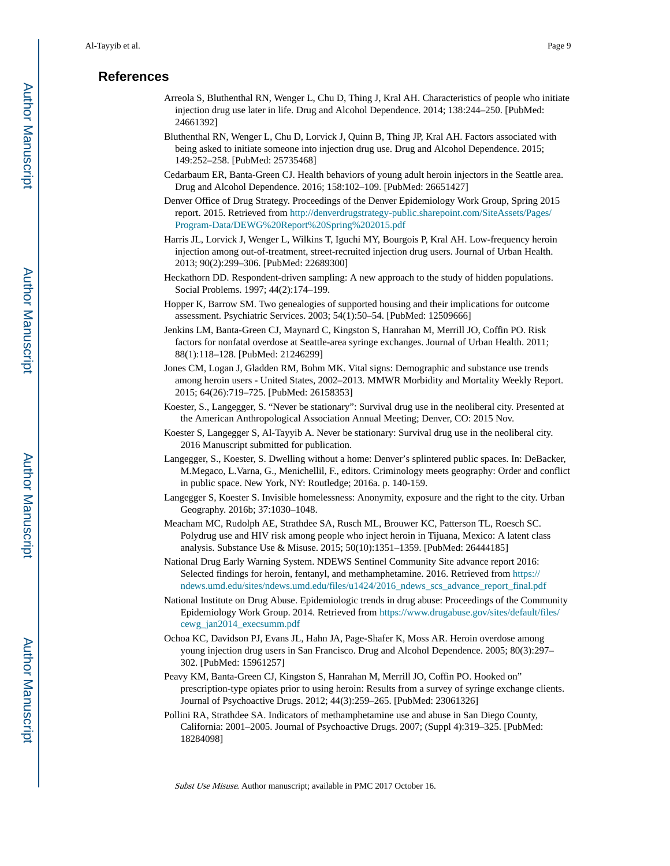#### **References**

- Arreola S, Bluthenthal RN, Wenger L, Chu D, Thing J, Kral AH. Characteristics of people who initiate injection drug use later in life. Drug and Alcohol Dependence. 2014; 138:244–250. [PubMed: 24661392]
- Bluthenthal RN, Wenger L, Chu D, Lorvick J, Quinn B, Thing JP, Kral AH. Factors associated with being asked to initiate someone into injection drug use. Drug and Alcohol Dependence. 2015; 149:252–258. [PubMed: 25735468]
- Cedarbaum ER, Banta-Green CJ. Health behaviors of young adult heroin injectors in the Seattle area. Drug and Alcohol Dependence. 2016; 158:102–109. [PubMed: 26651427]
- Denver Office of Drug Strategy. Proceedings of the Denver Epidemiology Work Group, Spring 2015 report. 2015. Retrieved from [http://denverdrugstrategy-public.sharepoint.com/SiteAssets/Pages/](http://denverdrugstrategy-public.sharepoint.com/SiteAssets/Pages/Program-Data/DEWG%20Report%20Spring%202015.pdf) [Program-Data/DEWG%20Report%20Spring%202015.pdf](http://denverdrugstrategy-public.sharepoint.com/SiteAssets/Pages/Program-Data/DEWG%20Report%20Spring%202015.pdf)
- Harris JL, Lorvick J, Wenger L, Wilkins T, Iguchi MY, Bourgois P, Kral AH. Low-frequency heroin injection among out-of-treatment, street-recruited injection drug users. Journal of Urban Health. 2013; 90(2):299–306. [PubMed: 22689300]
- Heckathorn DD. Respondent-driven sampling: A new approach to the study of hidden populations. Social Problems. 1997; 44(2):174–199.
- Hopper K, Barrow SM. Two genealogies of supported housing and their implications for outcome assessment. Psychiatric Services. 2003; 54(1):50–54. [PubMed: 12509666]
- Jenkins LM, Banta-Green CJ, Maynard C, Kingston S, Hanrahan M, Merrill JO, Coffin PO. Risk factors for nonfatal overdose at Seattle-area syringe exchanges. Journal of Urban Health. 2011; 88(1):118–128. [PubMed: 21246299]
- Jones CM, Logan J, Gladden RM, Bohm MK. Vital signs: Demographic and substance use trends among heroin users - United States, 2002–2013. MMWR Morbidity and Mortality Weekly Report. 2015; 64(26):719–725. [PubMed: 26158353]
- Koester, S., Langegger, S. "Never be stationary": Survival drug use in the neoliberal city. Presented at the American Anthropological Association Annual Meeting; Denver, CO: 2015 Nov.
- Koester S, Langegger S, Al-Tayyib A. Never be stationary: Survival drug use in the neoliberal city. 2016 Manuscript submitted for publication.
- Langegger, S., Koester, S. Dwelling without a home: Denver's splintered public spaces. In: DeBacker, M.Megaco, L.Varna, G., Menichellil, F., editors. Criminology meets geography: Order and conflict in public space. New York, NY: Routledge; 2016a. p. 140-159.
- Langegger S, Koester S. Invisible homelessness: Anonymity, exposure and the right to the city. Urban Geography. 2016b; 37:1030–1048.
- Meacham MC, Rudolph AE, Strathdee SA, Rusch ML, Brouwer KC, Patterson TL, Roesch SC. Polydrug use and HIV risk among people who inject heroin in Tijuana, Mexico: A latent class analysis. Substance Use & Misuse. 2015; 50(10):1351–1359. [PubMed: 26444185]
- National Drug Early Warning System. NDEWS Sentinel Community Site advance report 2016: Selected findings for heroin, fentanyl, and methamphetamine. 2016. Retrieved from [https://](https://ndews.umd.edu/sites/ndews.umd.edu/files/u1424/2016_ndews_scs_advance_report_final.pdf) [ndews.umd.edu/sites/ndews.umd.edu/files/u1424/2016\\_ndews\\_scs\\_advance\\_report\\_final.pdf](https://ndews.umd.edu/sites/ndews.umd.edu/files/u1424/2016_ndews_scs_advance_report_final.pdf)
- National Institute on Drug Abuse. Epidemiologic trends in drug abuse: Proceedings of the Community Epidemiology Work Group. 2014. Retrieved from [https://www.drugabuse.gov/sites/default/files/](https://www.drugabuse.gov/sites/default/files/cewg_jan2014_execsumm.pdf) [cewg\\_jan2014\\_execsumm.pdf](https://www.drugabuse.gov/sites/default/files/cewg_jan2014_execsumm.pdf)
- Ochoa KC, Davidson PJ, Evans JL, Hahn JA, Page-Shafer K, Moss AR. Heroin overdose among young injection drug users in San Francisco. Drug and Alcohol Dependence. 2005; 80(3):297– 302. [PubMed: 15961257]
- Peavy KM, Banta-Green CJ, Kingston S, Hanrahan M, Merrill JO, Coffin PO. Hooked on" prescription-type opiates prior to using heroin: Results from a survey of syringe exchange clients. Journal of Psychoactive Drugs. 2012; 44(3):259–265. [PubMed: 23061326]
- Pollini RA, Strathdee SA. Indicators of methamphetamine use and abuse in San Diego County, California: 2001–2005. Journal of Psychoactive Drugs. 2007; (Suppl 4):319–325. [PubMed: 18284098]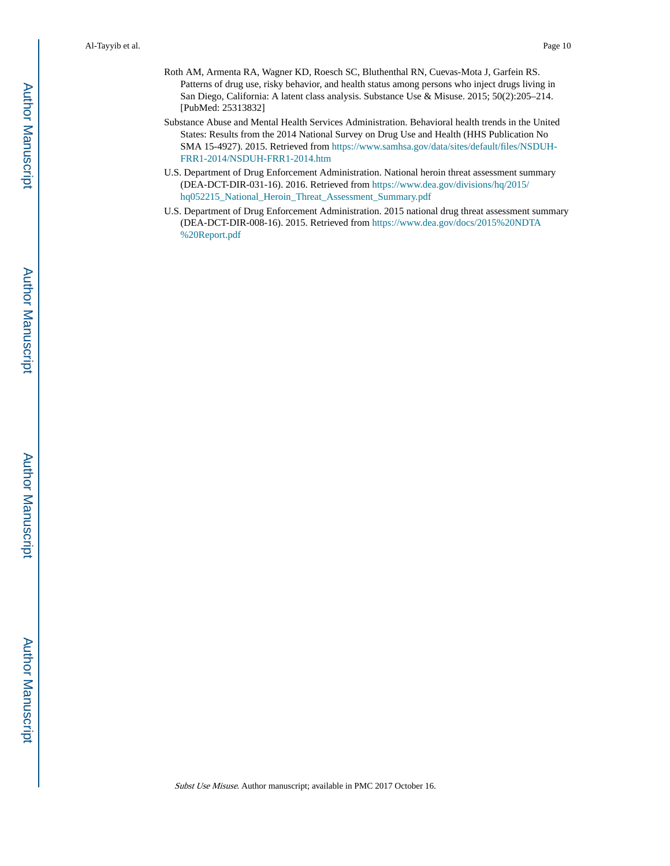- Roth AM, Armenta RA, Wagner KD, Roesch SC, Bluthenthal RN, Cuevas-Mota J, Garfein RS. Patterns of drug use, risky behavior, and health status among persons who inject drugs living in San Diego, California: A latent class analysis. Substance Use & Misuse. 2015; 50(2):205–214. [PubMed: 25313832]
- Substance Abuse and Mental Health Services Administration. Behavioral health trends in the United States: Results from the 2014 National Survey on Drug Use and Health (HHS Publication No SMA 15-4927). 2015. Retrieved from [https://www.samhsa.gov/data/sites/default/files/NSDUH-](https://www.samhsa.gov/data/sites/default/files/NSDUH-FRR1-2014/NSDUH-FRR1-2014.htm)[FRR1-2014/NSDUH-FRR1-2014.htm](https://www.samhsa.gov/data/sites/default/files/NSDUH-FRR1-2014/NSDUH-FRR1-2014.htm)
- U.S. Department of Drug Enforcement Administration. National heroin threat assessment summary (DEA-DCT-DIR-031-16). 2016. Retrieved from [https://www.dea.gov/divisions/hq/2015/](https://www.dea.gov/divisions/hq/2015/hq052215_National_Heroin_Threat_Assessment_Summary.pdf) [hq052215\\_National\\_Heroin\\_Threat\\_Assessment\\_Summary.pdf](https://www.dea.gov/divisions/hq/2015/hq052215_National_Heroin_Threat_Assessment_Summary.pdf)
- U.S. Department of Drug Enforcement Administration. 2015 national drug threat assessment summary (DEA-DCT-DIR-008-16). 2015. Retrieved from [https://www.dea.gov/docs/2015%20NDTA](https://www.dea.gov/docs/2015%20NDTA%20Report.pdf) [%20Report.pdf](https://www.dea.gov/docs/2015%20NDTA%20Report.pdf)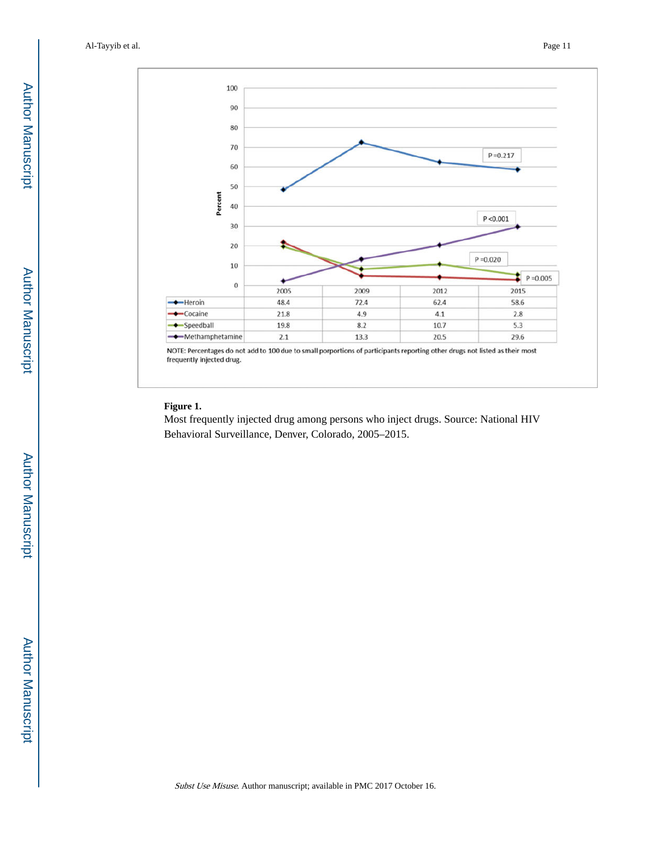

#### **Figure 1.**

Most frequently injected drug among persons who inject drugs. Source: National HIV Behavioral Surveillance, Denver, Colorado, 2005–2015.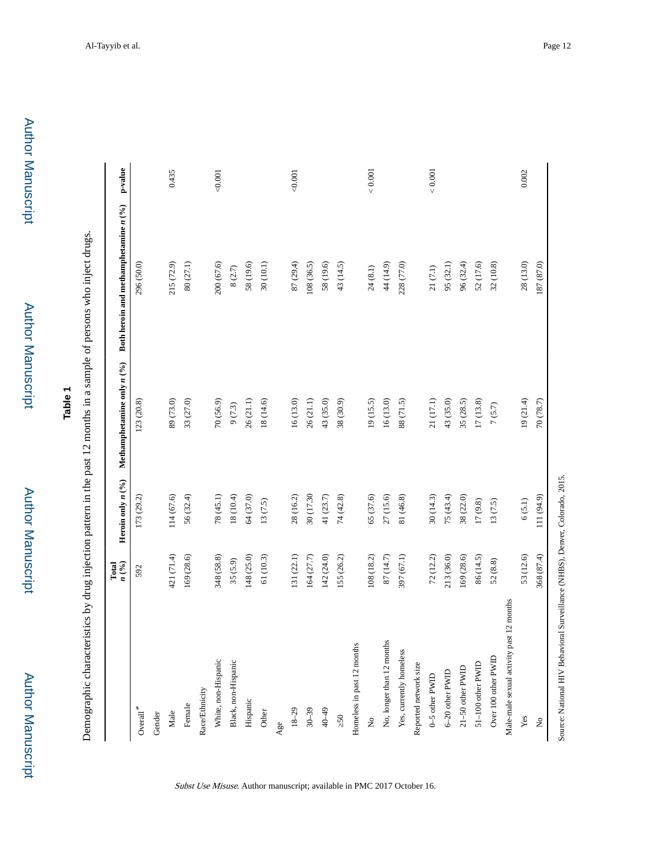## **Table 1**

Demographic characteristics by drug injection pattern in the past 12 months in a sample of persons who inject drugs. Demographic characteristics by drug injection pattern in the past 12 months in a sample of persons who inject drugs.

|                                                                              | n(%)<br>Total | Heroin only $n(°_0)$ | Methamphetamine only $n$ (%) | Both heroin and methamphetamine $n$ (%) | p-value       |
|------------------------------------------------------------------------------|---------------|----------------------|------------------------------|-----------------------------------------|---------------|
| $\mbox{Overall}^*$                                                           | 592           | 173 (29.2)           | 123 (20.8)                   | 296 (50.0)                              |               |
| Gender                                                                       |               |                      |                              |                                         |               |
| Male                                                                         | 421 (71.4)    | 114 (67.6)           | 89 (73.0)                    | 215 (72.9)                              | 0.435         |
| Female                                                                       | 169 (28.6)    | 56 (32.4)            | 33 (27.0)                    | $80\left(27.1\right)$                   |               |
| Race/Ethnicity                                                               |               |                      |                              |                                         |               |
| White, non-Hispanic                                                          | 348 (58.8)    | 78(45.1)             | 70(56.9)                     | 200 (67.6)                              | 0.001         |
| Black, non-Hispanic                                                          | 35(5.9)       | 18 (10.4)            | $9(7.3)$                     | 8(2.7)                                  |               |
| Hispanic                                                                     | 148 (25.0)    | 64 (37.0)            | 26 (21.1)                    | 58 (19.6)                               |               |
| Other                                                                        | 61 (10.3)     | 13(7.5)              | 18 (14.6)                    | 30 (10.1)                               |               |
| Age                                                                          |               |                      |                              |                                         |               |
| $18 - 29$                                                                    | 131(22.1)     | 28(16.2)             | 16(13.0)                     | 87 (29.4)                               | 0.001         |
| $30 - 39$                                                                    | 164 (27.7)    | 30 (17.30)           | 26(21.1)                     | 108 (36.5)                              |               |
| $40 - 49$                                                                    | 142 (24.0)    | 41 $(23.7)$          | 43 (35.0)                    | 58 (19.6)                               |               |
| 50                                                                           | 155 (26.2)    | 74(42.8)             | 38 (30.9)                    | 43 (14.5)                               |               |
| Homeless in past 12 months                                                   |               |                      |                              |                                         |               |
| $\frac{1}{2}$                                                                | 108 (18.2)    | 65 (37.6)            | 19(15.5)                     | 24(8.1)                                 | ${}_{<0.001}$ |
| No, longer than 12 months                                                    | 87 (14.7)     | 27 (15.6)            | 16(13.0)                     | 44 (14.9)                               |               |
| Yes, currently homeless                                                      | 397 (67.1)    | 81 (46.8)            | 88 (71.5)                    | 228 (77.0)                              |               |
| Reported network size                                                        |               |                      |                              |                                         |               |
| 0-5 other PWID                                                               | 72(12.2)      | 30(14.3)             | 21(17.1)                     | $21\,(7.1)$                             | ${}_{<0.001}$ |
| 6-20 other PWID                                                              | 213 (36.0)    | 75(43.4)             | 43 (35.0)                    | 95(32.1)                                |               |
| 21-50 other PWID                                                             | 169 (28.6)    | 38 (22.0)            | 35 (28.5)                    | 96 (32.4)                               |               |
| 51-100 other PWID                                                            | 86 (14.5)     | 17(9.8)              | 17(13.8)                     | 52 (17.6)                               |               |
| Over 100 other PWID                                                          | 52(8.8)       | 13(7.5)              | 7(5.7)                       | 32 (10.8)                               |               |
| past 12 months<br>Male-male sexual activity                                  |               |                      |                              |                                         |               |
| Yes                                                                          | 53 (12.6)     | 6(5.1)               | 19(21.4)                     | 28(13.0)                                | 0.002         |
| $\mathop{\mathsf{S}}$                                                        | 368 (87.4)    | 111 (94.9)           | 70 (78.7)                    | 187 (87.0)                              |               |
| Source: National HIV Behavioral Surveillance (NHBS), Denver, Colorado, 2015. |               |                      |                              |                                         |               |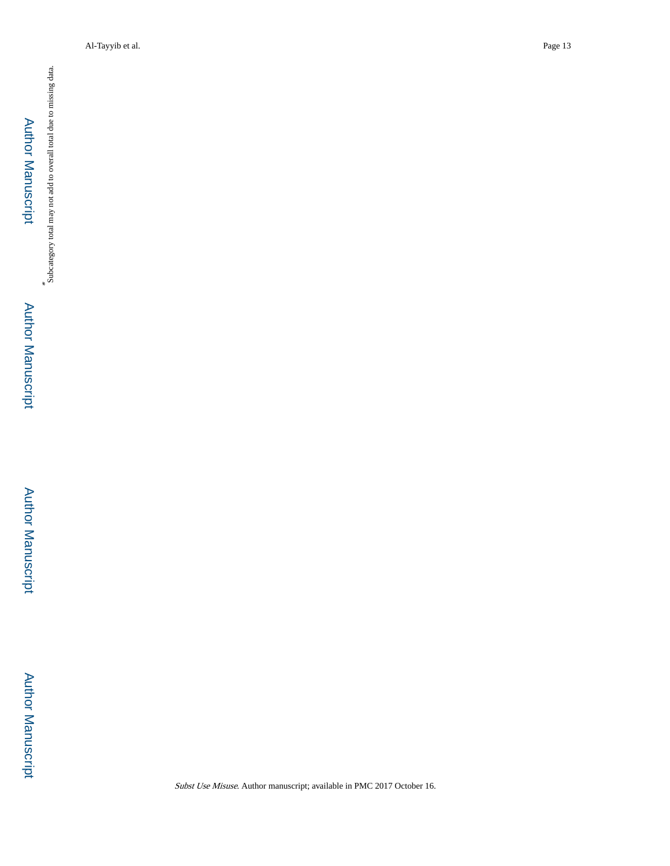Subcategory total may not add to overall total due to missing data. **Author Manuscript** Author Manuscript

\*

 Author ManuscriptAuthor Manuscript

Author Manuscript

**Author Manuscript** 

Al-Tayyib et al. Page 13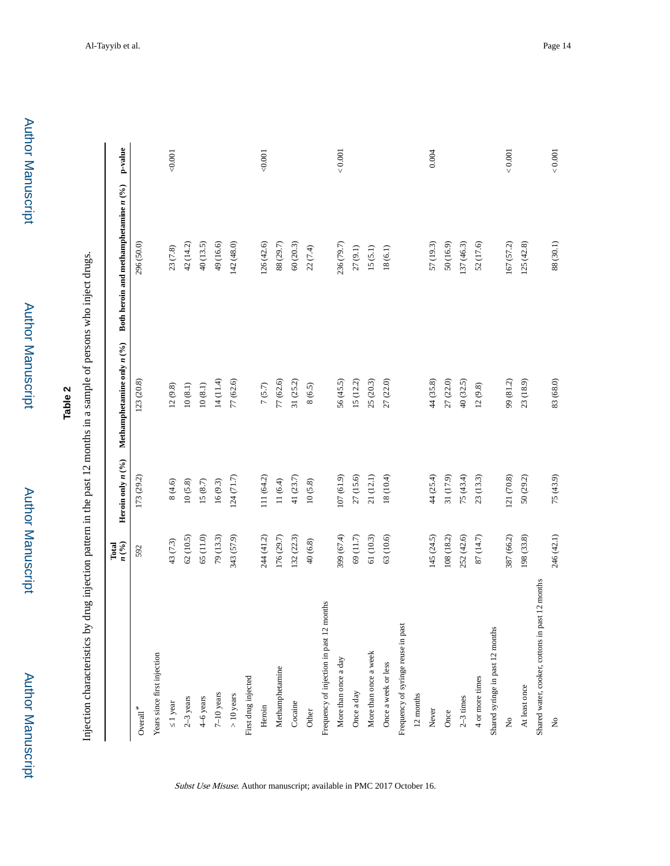# **Table 2**

Injection characteristics by drug injection pattern in the past 12 months in a sample of persons who inject drugs. Injection characteristics by drug injection pattern in the past 12 months in a sample of persons who inject drugs.

|                                                 | n(%)<br>Total | Heroin only $n(%$ | Methamphetamine only $n$ (%) | Both heroin and methamphetamine $n$ (%) | p-value  |
|-------------------------------------------------|---------------|-------------------|------------------------------|-----------------------------------------|----------|
| $\mbox{o}$ verall $^*$                          | 592           | 173 (29.2)        | 123 (20.8)                   | 296 (50.0)                              |          |
| Years since first injection                     |               |                   |                              |                                         |          |
| 1 year                                          | 43 (7.3)      | 8(4.6)            | 12(9.8)                      | 23(7.8)                                 | 0.001    |
| $2-3$ years                                     | 62(10.5)      | 10(5.8)           | $10\ (8.1)$                  | 42 (14.2)                               |          |
| 4–6 years                                       | 65 (11.0)     | $15\ (8.7)$       | $10\ (8.1)$                  | 40(13.5)                                |          |
| $7-10$ years                                    | 79 (13.3)     | 16(9.3)           | 14 (11.4)                    | 49 (16.6)                               |          |
| $> 10$ years                                    | 343 (57.9)    | 124(71.7)         | 77 (62.6)                    | 142 (48.0)                              |          |
| First drug injected                             |               |                   |                              |                                         |          |
| Heroin                                          | 244 (41.2)    | 111 (64.2)        | 7(5.7)                       | 126(42.6)                               | 0.001    |
| Methamphetamine                                 | 176 (29.7)    | 11(6.4)           | 77 (62.6)                    | 88 (29.7)                               |          |
| Cocaine                                         | 132 (22.3)    | 41(23.7)          | 31(25.2)                     | 60(20.3)                                |          |
| Other                                           | 40(6.8)       | 10(5.8)           | 8(6.5)                       | 22(7.4)                                 |          |
| Frequency of injection in past 12 months        |               |                   |                              |                                         |          |
| More than once a day                            | 399 (67.4)    | 107 (61.9)        | 56 (45.5)                    | 236 (79.7)                              | $<0.001$ |
| Once a day                                      | 69(11.7)      | 27 (15.6)         | 15(12.2)                     | 27(9.1)                                 |          |
| More than once a week                           | 61 (10.3)     | 21 (12.1)         | 25 (20.3)                    | 15(5.1)                                 |          |
| Once a week or less                             | 63 (10.6)     | 18 (10.4)         | 27 (22.0)                    | 18(6.1)                                 |          |
| Frequency of syringe reuse in past              |               |                   |                              |                                         |          |
| 12 months                                       |               |                   |                              |                                         |          |
| Never                                           | 145 (24.5)    | 44 (25.4)         | 44 (35.8)                    | 57 (19.3)                               | 0.004    |
| Once                                            | 108 (18.2)    | 31 (17.9)         | 27 (22.0)                    | 50 (16.9)                               |          |
| $2-3$ times                                     | 252 (42.6)    | 75(43.4)          | 40 (32.5)                    | 137 (46.3)                              |          |
| 4 or more times                                 | 87 (14.7)     | 23(13.3)          | 12(9.8)                      | 52 (17.6)                               |          |
| Shared syringe in past 12 months                |               |                   |                              |                                         |          |
| $\frac{1}{2}$                                   | 387 (66.2)    | 121 (70.8)        | 99 (81.2)                    | 167 (57.2)                              | 0.001    |
| At least once                                   | 198 (33.8)    | 50 (29.2)         | 23(18.9)                     | 125(42.8)                               |          |
| Shared water, cooker, cottons in past 12 months |               |                   |                              |                                         |          |
| $\stackrel{\circ}{\mathbf{z}}$                  | 246 (42.1)    | 75(43.9)          | 83 (68.0)                    | 88 (30.1)                               | $<0.001$ |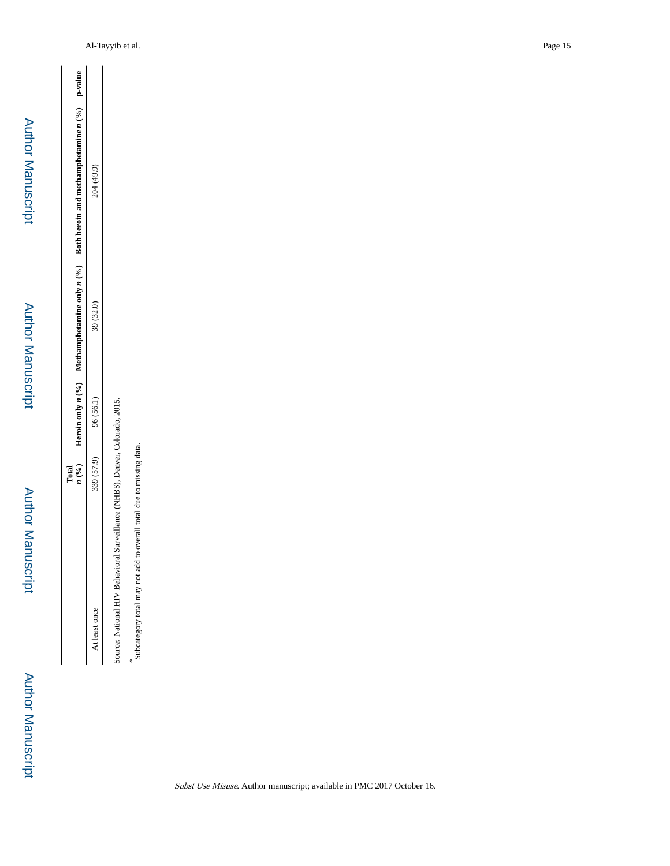Author Manuscript

Author Manuscript

 $\stackrel{*}{\text{s}}$  subcategory total may not add to overall total due to missing data. Subcategory total may not add to overall total due to missing data.

Source: National HIV Behavioral Surveillance (NHBS), Denver, Colorado, 2015.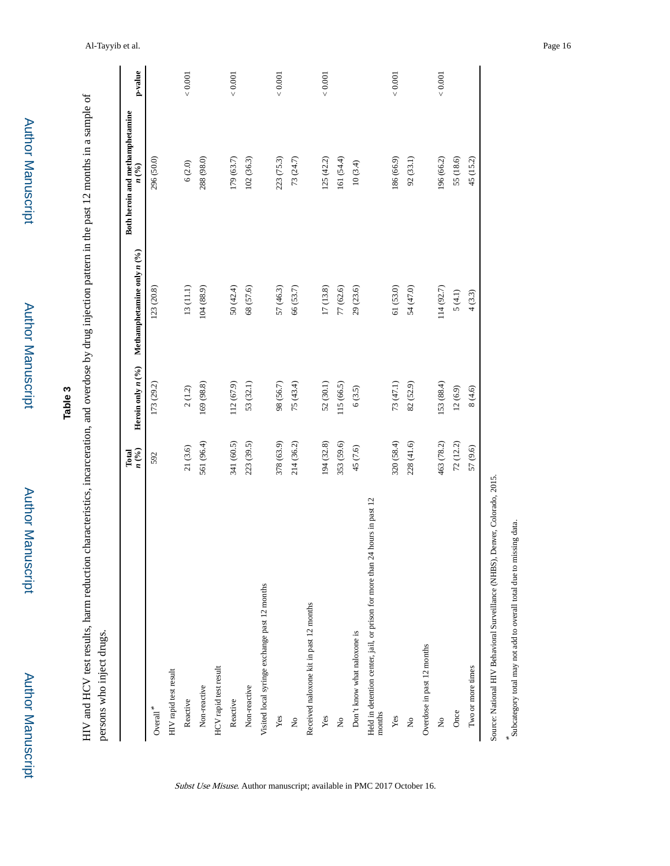|                                                                                          | n(%)<br>Total | Heroin only $n(°_0)$ | Methamphetamine only $n$ (%) | Both heroin and methamphetamine<br>n(%) | p-value       |
|------------------------------------------------------------------------------------------|---------------|----------------------|------------------------------|-----------------------------------------|---------------|
| $\mbox{Overall}^*$                                                                       | 592           | 173 (29.2)           | 123 (20.8)                   | 296 (50.0)                              |               |
| HIV rapid test result                                                                    |               |                      |                              |                                         |               |
| Reactive                                                                                 | 21(3.6)       | 2(1.2)               | $13\left(11.1\right)$        | 6(2.0)                                  | $<0.001$      |
| Non-reactive                                                                             | 561 (96.4)    | 169 (98.8)           | 104(88.9)                    | 288 (98.0)                              |               |
| HCV rapid test result                                                                    |               |                      |                              |                                         |               |
| Reactive                                                                                 | 341 (60.5)    | 112 (67.9)           | 50(42.4)                     | 179 (63.7)                              | ${}_{<0.001}$ |
| Non-reactive                                                                             | 223 (39.5)    | 53 (32.1)            | 68 (57.6)                    | 102(36.3)                               |               |
| Visited local syringe exchange past 12 months                                            |               |                      |                              |                                         |               |
| Yes                                                                                      | 378 (63.9)    | 98 (56.7)            | 57 (46.3)                    | 223 (75.3)                              | ${}_{<0.001}$ |
| $\stackrel{\circ}{\mathsf{z}}$                                                           | 214 (36.2)    | 75(43.4)             | 66 (53.7)                    | 73 (24.7)                               |               |
| Received naloxone kit in past 12 months                                                  |               |                      |                              |                                         |               |
| Yes                                                                                      | 194 (32.8)    | 52(30.1)             | 17(13.8)                     | 125(42.2)                               | ${}_{<0.001}$ |
| $\tilde{z}$                                                                              | 353 (59.6)    | 115 (66.5)           | 77 (62.6)                    | 161 (54.4)                              |               |
| Don't know what naloxone is                                                              | 45(7.6)       | 6(3.5)               | 29(23.6)                     | 10(3.4)                                 |               |
| hours in past 12<br>Held in detention center, jail, or prison for more than 24<br>months |               |                      |                              |                                         |               |
| Yes                                                                                      | 320 (58.4)    | 73 (47.1)            | 61 (53.0)                    | 186 (66.9)                              | ${}< 0.001$   |
| $\Sigma$                                                                                 | 228 (41.6)    | 82 (52.9)            | 54 (47.0)                    | 92(33.1)                                |               |
| Overdose in past 12 months                                                               |               |                      |                              |                                         |               |
| $\mathsf{S}^{\mathsf{o}}$                                                                | 463 (78.2)    | 153 (88.4)           | 114 (92.7)                   | 196 (66.2)                              | ${}< 0.001$   |
| Once                                                                                     | 72 (12.2)     | 12(6.9)              | 5(4.1)                       | 55 (18.6)                               |               |
| Two or more times                                                                        | 57 (9.6)      | 8(4.6)               | 4(3.3)                       | 45 (15.2)                               |               |

\*

Subcategory total may not add to overall total due to missing data.

Subst Use Misuse. Author manuscript; available in PMC 2017 October 16.

**Table 3**

HIV and HCV test results, harm reduction characteristics, incarceration, and overdose by drug injection pattern in the past 12 months in a sample of

HIV and HCV test results, harm reduction characteristics, incarceration, and overdose by drug injection pattern in the past 12 months in a sample of

Author Manuscript

Author Manuscript